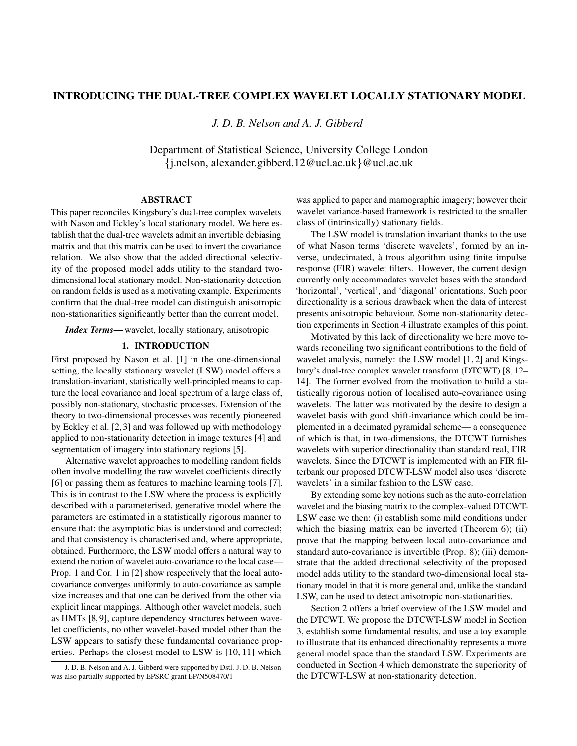# INTRODUCING THE DUAL-TREE COMPLEX WAVELET LOCALLY STATIONARY MODEL

*J. D. B. Nelson and A. J. Gibberd*

Department of Statistical Science, University College London {j.nelson, alexander.gibberd.12@ucl.ac.uk}@ucl.ac.uk

### ABSTRACT

This paper reconciles Kingsbury's dual-tree complex wavelets with Nason and Eckley's local stationary model. We here establish that the dual-tree wavelets admit an invertible debiasing matrix and that this matrix can be used to invert the covariance relation. We also show that the added directional selectivity of the proposed model adds utility to the standard twodimensional local stationary model. Non-stationarity detection on random fields is used as a motivating example. Experiments confirm that the dual-tree model can distinguish anisotropic non-stationarities significantly better than the current model.

*Index Terms*—wavelet, locally stationary, anisotropic

### 1. INTRODUCTION

First proposed by Nason et al. [1] in the one-dimensional setting, the locally stationary wavelet (LSW) model offers a translation-invariant, statistically well-principled means to capture the local covariance and local spectrum of a large class of, possibly non-stationary, stochastic processes. Extension of the theory to two-dimensional processes was recently pioneered by Eckley et al. [2, 3] and was followed up with methodology applied to non-stationarity detection in image textures [4] and segmentation of imagery into stationary regions [5].

Alternative wavelet approaches to modelling random fields often involve modelling the raw wavelet coefficients directly [6] or passing them as features to machine learning tools [7]. This is in contrast to the LSW where the process is explicitly described with a parameterised, generative model where the parameters are estimated in a statistically rigorous manner to ensure that: the asymptotic bias is understood and corrected; and that consistency is characterised and, where appropriate, obtained. Furthermore, the LSW model offers a natural way to extend the notion of wavelet auto-covariance to the local case— Prop. 1 and Cor. 1 in [2] show respectively that the local autocovariance converges uniformly to auto-covariance as sample size increases and that one can be derived from the other via explicit linear mappings. Although other wavelet models, such as HMTs [8, 9], capture dependency structures between wavelet coefficients, no other wavelet-based model other than the LSW appears to satisfy these fundamental covariance properties. Perhaps the closest model to LSW is [10, 11] which

was applied to paper and mamographic imagery; however their wavelet variance-based framework is restricted to the smaller class of (intrinsically) stationary fields.

The LSW model is translation invariant thanks to the use of what Nason terms 'discrete wavelets', formed by an inverse, undecimated, a trous algorithm using finite impulse ` response (FIR) wavelet filters. However, the current design currently only accommodates wavelet bases with the standard 'horizontal', 'vertical', and 'diagonal' orientations. Such poor directionality is a serious drawback when the data of interest presents anisotropic behaviour. Some non-stationarity detection experiments in Section 4 illustrate examples of this point.

Motivated by this lack of directionality we here move towards reconciling two significant contributions to the field of wavelet analysis, namely: the LSW model [1, 2] and Kingsbury's dual-tree complex wavelet transform (DTCWT) [8, 12– 14]. The former evolved from the motivation to build a statistically rigorous notion of localised auto-covariance using wavelets. The latter was motivated by the desire to design a wavelet basis with good shift-invariance which could be implemented in a decimated pyramidal scheme— a consequence of which is that, in two-dimensions, the DTCWT furnishes wavelets with superior directionality than standard real, FIR wavelets. Since the DTCWT is implemented with an FIR filterbank our proposed DTCWT-LSW model also uses 'discrete wavelets' in a similar fashion to the LSW case.

By extending some key notions such as the auto-correlation wavelet and the biasing matrix to the complex-valued DTCWT-LSW case we then: (i) establish some mild conditions under which the biasing matrix can be inverted (Theorem 6); (ii) prove that the mapping between local auto-covariance and standard auto-covariance is invertible (Prop. 8); (iii) demonstrate that the added directional selectivity of the proposed model adds utility to the standard two-dimensional local stationary model in that it is more general and, unlike the standard LSW, can be used to detect anisotropic non-stationarities.

Section 2 offers a brief overview of the LSW model and the DTCWT. We propose the DTCWT-LSW model in Section 3, establish some fundamental results, and use a toy example to illustrate that its enhanced directionality represents a more general model space than the standard LSW. Experiments are conducted in Section 4 which demonstrate the superiority of the DTCWT-LSW at non-stationarity detection.

J. D. B. Nelson and A. J. Gibberd were supported by Dstl. J. D. B. Nelson was also partially supported by EPSRC grant EP/N508470/1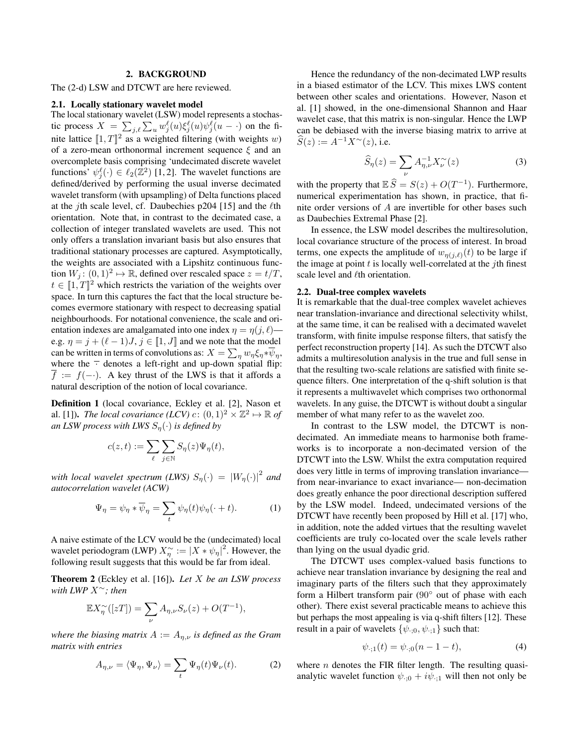# 2. BACKGROUND

The (2-d) LSW and DTCWT are here reviewed.

### 2.1. Locally stationary wavelet model

The local stationary wavelet (LSW) model represents a stochastic process  $X = \sum_{j,\ell} \sum_u w_j^{\ell}(u) \xi_j^{\ell}(u) \psi_j^{\ell}(u - \cdot)$  on the finite lattice  $\llbracket 1, T \rrbracket^2$  as a weighted filtering (with weights w) of a zero-mean orthonormal increment sequence  $\xi$  and an overcomplete basis comprising 'undecimated discrete wavelet functions'  $\psi_j^{\ell}(\cdot) \in \ell_2(\mathbb{Z}^2)$  [1, 2]. The wavelet functions are defined/derived by performing the usual inverse decimated wavelet transform (with upsampling) of Delta functions placed at the *j*th scale level, cf. Daubechies p204 [15] and the  $\ell$ th orientation. Note that, in contrast to the decimated case, a collection of integer translated wavelets are used. This not only offers a translation invariant basis but also ensures that traditional stationary processes are captured. Asymptotically, the weights are associated with a Lipshitz continuous function  $W_j$ :  $(0,1)^2 \mapsto \mathbb{R}$ , defined over rescaled space  $z = t/T$ ,  $t \in [1, T]^2$  which restricts the variation of the weights over space. In turn this captures the fact that the local structure becomes evermore stationary with respect to decreasing spatial neighbourhoods. For notational convenience, the scale and orientation indexes are amalgamated into one index  $\eta = \eta(j, \ell)$  e.g.  $\eta = j + (\ell - 1)J$ ,  $j \in [1, J]$  and we note that the model can be written in terms of convolutions as:  $X = \sum_{\eta} w_{\eta} \xi_{\eta} * \overline{\psi}_{\eta}$ , where the  $\overline{\phantom{a}}$  denotes a left-right and up-down spatial flip:  $f := f(-\cdot)$ . A key thrust of the LWS is that it affords a natural description of the notion of local covariance.

Definition 1 (local covariance, Eckley et al. [2], Nason et al. [1]). *The local covariance* (*LCV*)  $c: (0,1)^2 \times \mathbb{Z}^2 \mapsto \mathbb{R}$  of *an LSW process with LWS*  $S_n(\cdot)$  *is defined by* 

$$
c(z,t) := \sum_{\ell} \sum_{j \in \mathbb{N}} S_{\eta}(z) \Psi_{\eta}(t),
$$

*with local wavelet spectrum (LWS)*  $S_{\eta}(\cdot) = |W_{\eta}(\cdot)|^2$  and *autocorrelation wavelet (ACW)*

$$
\Psi_{\eta} = \psi_{\eta} * \overline{\psi}_{\eta} = \sum_{t} \psi_{\eta}(t) \psi_{\eta}(\cdot + t). \tag{1}
$$

A naive estimate of the LCV would be the (undecimated) local wavelet periodogram (LWP)  $X_{\eta}^{\sim} := |X * \psi_{\eta}|^2$ . However, the following result suggests that this would be far from ideal.

Theorem 2 (Eckley et al. [16]). *Let* X *be an LSW process with LWP* X<sup>∼</sup>*; then*

$$
\mathbb{E}X_{\eta}^{\sim}([zT]) = \sum_{\nu} A_{\eta,\nu} S_{\nu}(z) + O(T^{-1}),
$$

*where the biasing matrix*  $A := A_{\eta,\nu}$  *is defined as the Gram matrix with entries*

$$
A_{\eta,\nu} = \langle \Psi_{\eta}, \Psi_{\nu} \rangle = \sum_{t} \Psi_{\eta}(t) \Psi_{\nu}(t). \tag{2}
$$

Hence the redundancy of the non-decimated LWP results in a biased estimator of the LCV. This mixes LWS content between other scales and orientations. However, Nason et al. [1] showed, in the one-dimensional Shannon and Haar wavelet case, that this matrix is non-singular. Hence the LWP can be debiased with the inverse biasing matrix to arrive at  $S(z) := A^{-1} X^{\sim}(z)$ , i.e.

$$
\widehat{S}_{\eta}(z) = \sum_{\nu} A_{\eta,\nu}^{-1} X_{\nu}^{\sim}(z)
$$
 (3)

with the property that  $\mathbb{E}\widehat{S} = S(z) + O(T^{-1})$ . Furthermore, numerical experimentation has shown, in practice, that finite order versions of A are invertible for other bases such as Daubechies Extremal Phase [2].

In essence, the LSW model describes the multiresolution, local covariance structure of the process of interest. In broad terms, one expects the amplitude of  $w_{\eta(j,\ell)}(t)$  to be large if the image at point  $t$  is locally well-correlated at the  $j$ th finest scale level and  $\ell$ th orientation.

### 2.2. Dual-tree complex wavelets

It is remarkable that the dual-tree complex wavelet achieves near translation-invariance and directional selectivity whilst, at the same time, it can be realised with a decimated wavelet transform, with finite impulse response filters, that satisfy the perfect reconstruction property [14]. As such the DTCWT also admits a multiresolution analysis in the true and full sense in that the resulting two-scale relations are satisfied with finite sequence filters. One interpretation of the q-shift solution is that it represents a multiwavelet which comprises two orthonormal wavelets. In any guise, the DTCWT is without doubt a singular member of what many refer to as the wavelet zoo.

In contrast to the LSW model, the DTCWT is nondecimated. An immediate means to harmonise both frameworks is to incorporate a non-decimated version of the DTCWT into the LSW. Whilst the extra computation required does very little in terms of improving translation invariance from near-invariance to exact invariance— non-decimation does greatly enhance the poor directional description suffered by the LSW model. Indeed, undecimated versions of the DTCWT have recently been proposed by Hill et al. [17] who, in addition, note the added virtues that the resulting wavelet coefficients are truly co-located over the scale levels rather than lying on the usual dyadic grid.

The DTCWT uses complex-valued basis functions to achieve near translation invariance by designing the real and imaginary parts of the filters such that they approximately form a Hilbert transform pair (90◦ out of phase with each other). There exist several practicable means to achieve this but perhaps the most appealing is via q-shift filters [12]. These result in a pair of wavelets  $\{\psi_{\cdot,0}, \psi_{\cdot,1}\}$  such that:

$$
\psi_{\cdot;1}(t) = \psi_{\cdot;0}(n-1-t),\tag{4}
$$

where  $n$  denotes the FIR filter length. The resulting quasianalytic wavelet function  $\psi_{\cdot;0} + i\psi_{\cdot;1}$  will then not only be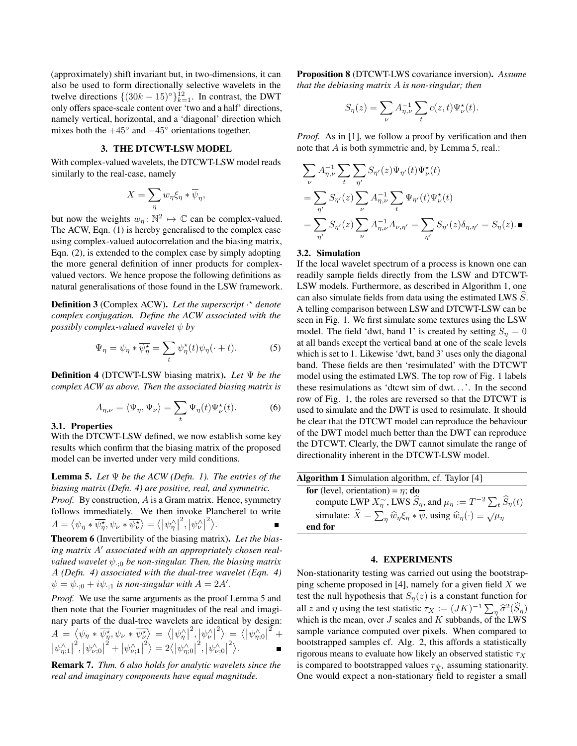(approximately) shift invariant but, in two-dimensions, it can also be used to form directionally selective wavelets in the twelve directions  $\{(30k - 15)^\circ\}_{k=1}^{12}$ . In contrast, the DWT only offers space-scale content over 'two and a half' directions, namely vertical, horizontal, and a 'diagonal' direction which mixes both the  $+45^\circ$  and  $-45^\circ$  orientations together.

### 3. THE DTCWT-LSW MODEL

With complex-valued wavelets, the DTCWT-LSW model reads similarly to the real-case, namely

$$
X = \sum_{\eta} w_{\eta} \xi_{\eta} * \overline{\psi}_{\eta},
$$

but now the weights  $w_{\eta} \colon \mathbb{N}^2 \mapsto \mathbb{C}$  can be complex-valued. The ACW, Eqn. (1) is hereby generalised to the complex case using complex-valued autocorrelation and the biasing matrix, Eqn. (2), is extended to the complex case by simply adopting the more general definition of inner products for complexvalued vectors. We hence propose the following definitions as natural generalisations of those found in the LSW framework.

Definition 3 (Complex ACW). Let the superscript  $\cdot$ \* denote *complex conjugation. Define the ACW associated with the possibly complex-valued wavelet*  $\psi$  *by* 

$$
\Psi_{\eta} = \psi_{\eta} * \overline{\psi_{\eta}^{\star}} = \sum_{t} \psi_{\eta}^{\star}(t)\psi_{\eta}(\cdot + t). \tag{5}
$$

Definition 4 (DTCWT-LSW biasing matrix). *Let* Ψ *be the complex ACW as above. Then the associated biasing matrix is*

$$
A_{\eta,\nu} = \langle \Psi_{\eta}, \Psi_{\nu} \rangle = \sum_{t} \Psi_{\eta}(t) \Psi_{\nu}^{\star}(t). \tag{6}
$$

#### 3.1. Properties

With the DTCWT-LSW defined, we now establish some key results which confirm that the biasing matrix of the proposed model can be inverted under very mild conditions.

Lemma 5. *Let* Ψ *be the ACW (Defn. 1). The entries of the biasing matrix (Defn. 4) are positive, real, and symmetric.*

*Proof.* By construction, A is a Gram matrix. Hence, symmetry follows immediately. We then invoke Plancherel to write  $A = \langle \psi_{\eta} * \overline{\psi_{\eta}^{\star}}, \psi_{\nu} * \overline{\psi_{\nu}^{\star}} \rangle = \langle |\psi_{\eta}^{\wedge}|$  $^{2},\left\vert \psi_{\nu}^{\wedge}\right\vert ^{2}\rangle.$ 

Theorem 6 (Invertibility of the biasing matrix). *Let the bias*ing matrix A' associated with an appropriately chosen real*valued wavelet*  $\psi_{\cdot:0}$  *be non-singular. Then, the biasing matrix* A *(Defn. 4) associated with the dual-tree wavelet (Eqn. 4)*  $\psi = \psi_{\cdot;0} + i\psi_{\cdot;1}$  *is non-singular with*  $A = 2A'$ .

*Proof.* We use the same arguments as the proof Lemma 5 and then note that the Fourier magnitudes of the real and imaginary parts of the dual-tree wavelets are identical by design:  $A = \langle \psi_{\eta} * \overline{\psi_{\eta}^{\star}}, \psi_{\nu} * \overline{\psi_{\nu}^{\star}} \rangle = \langle |\psi_{\eta}^{\wedge}|$  $\langle \psi_{\nu}^{\wedge} |^{2} \rangle = \langle |\psi_{\eta;0}^{\wedge}|^{2} \rangle$  $\frac{2}{+}$  $|\psi^{\wedge}_{\eta;1}|$ <sup>2</sup>,  $|\psi_{\nu;0}^{\wedge}|$  $\langle \psi_{\nu;1}^{\wedge} |^2 \rangle = 2 \langle |\psi_{\eta;0}^{\wedge}|^2 \rangle$  $^{2},\left\vert \psi_{\nu;0}^{\wedge}\right\vert ^{2}\rangle.$ 

Remark 7. *Thm. 6 also holds for analytic wavelets since the real and imaginary components have equal magnitude.*

Proposition 8 (DTCWT-LWS covariance inversion). *Assume that the debiasing matrix* A *is non-singular; then*

$$
S_{\eta}(z) = \sum_{\nu} A_{\eta,\nu}^{-1} \sum_{t} c(z,t) \Psi_{\nu}^{\star}(t).
$$

*Proof.* As in [1], we follow a proof by verification and then note that A is both symmetric and, by Lemma 5, real.:

$$
\sum_{\nu} A_{\eta,\nu}^{-1} \sum_{t} \sum_{\eta'} S_{\eta'}(z) \Psi_{\eta'}(t) \Psi_{\nu}^{\star}(t)
$$
  
= 
$$
\sum_{\eta'} S_{\eta'}(z) \sum_{\nu} A_{\eta,\nu}^{-1} \sum_{t} \Psi_{\eta'}(t) \Psi_{\nu}^{\star}(t)
$$
  
= 
$$
\sum_{\eta'} S_{\eta'}(z) \sum_{\nu} A_{\eta,\nu}^{-1} A_{\nu,\eta'} = \sum_{\eta'} S_{\eta'}(z) \delta_{\eta,\eta'} = S_{\eta}(z). \blacksquare
$$

### 3.2. Simulation

If the local wavelet spectrum of a process is known one can readily sample fields directly from the LSW and DTCWT-LSW models. Furthermore, as described in Algorithm 1, one can also simulate fields from data using the estimated LWS  $S$ . A telling comparison between LSW and DTCWT-LSW can be seen in Fig. 1. We first simulate some textures using the LSW model. The field 'dwt, band 1' is created by setting  $S_n = 0$ at all bands except the vertical band at one of the scale levels which is set to 1. Likewise 'dwt, band 3' uses only the diagonal band. These fields are then 'resimulated' with the DTCWT model using the estimated LWS. The top row of Fig. 1 labels these resimulations as 'dtcwt sim of dwt. . . '. In the second row of Fig. 1, the roles are reversed so that the DTCWT is used to simulate and the DWT is used to resimulate. It should be clear that the DTCWT model can reproduce the behaviour of the DWT model much better than the DWT can reproduce the DTCWT. Clearly, the DWT cannot simulate the range of directionality inherent in the DTCWT-LSW model.

| <b>Algorithm 1</b> Simulation algorithm, cf. Taylor [4]                                                         |
|-----------------------------------------------------------------------------------------------------------------|
| <b>for</b> (level, orientation) = $\eta$ ; <b>do</b>                                                            |
| compute LWP $X_n^{\sim}$ , LWS $\widehat{S}_\eta$ , and $\mu_\eta := T^{-2} \sum_t \widehat{S}_\eta(t)$         |
| simulate: $\hat{X} = \sum_{n} \hat{w}_n \xi_n * \overline{\psi}$ , using $\hat{w}_n(\cdot) \equiv \sqrt{\mu_n}$ |
| end for                                                                                                         |
|                                                                                                                 |

# 4. EXPERIMENTS

Non-stationarity testing was carried out using the bootstrapping scheme proposed in [4], namely for a given field  $X$  we test the null hypothesis that  $S_n(z)$  is a constant function for all z and  $\eta$  using the test statistic  $\tau_X := (JK)^{-1} \sum_{\eta} \hat{\sigma}^2(\hat{S}_{\eta})$ <br>which is the mean, over I scales and K subbands, of the LWS which is the mean, over  $J$  scales and  $K$  subbands, of the LWS sample variance computed over pixels. When compared to bootstrapped samples cf. Alg. 2, this affords a statistically rigorous means to evaluate how likely an observed statistic  $\tau_X$ is compared to bootstrapped values  $\tau_{\hat{\mathbf{x}}_i}$  assuming stationarity. One would expect a non-stationary field to register a small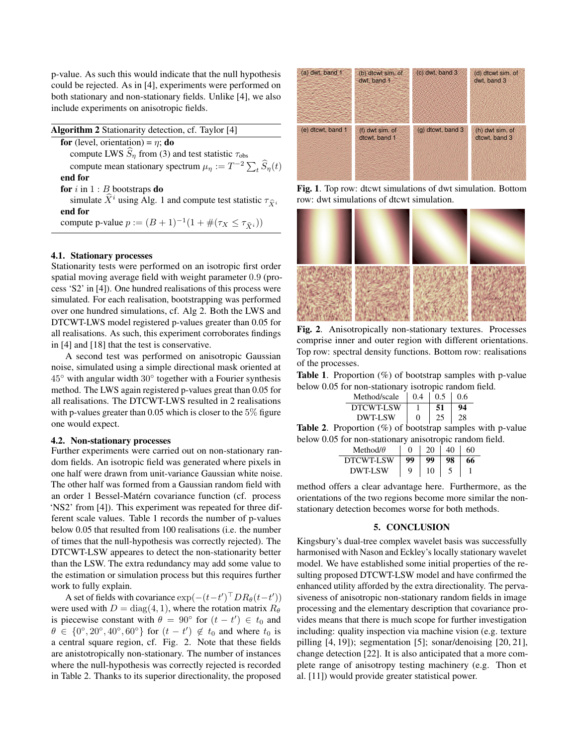p-value. As such this would indicate that the null hypothesis could be rejected. As in [4], experiments were performed on both stationary and non-stationary fields. Unlike [4], we also include experiments on anisotropic fields.

| Algorithm 2 Stationarity detection, cf. Taylor [4]                              |
|---------------------------------------------------------------------------------|
| for (level, orientation) = $\eta$ ; do                                          |
| compute LWS $\widehat{S}_n$ from (3) and test statistic $\tau_{obs}$            |
| compute mean stationary spectrum $\mu_n := T^{-2} \sum_{i} \widehat{S}_n(t)$    |
| end for                                                                         |
| for $i$ in $1 : B$ bootstraps do                                                |
| simulate $\hat{X}^i$ using Alg. 1 and compute test statistic $\tau_{\hat{X}^i}$ |
| end for                                                                         |
| compute p-value $p := (B+1)^{-1}(1+\#(\tau_X \leq \tau_{\hat{Y}_i}))$           |

#### 4.1. Stationary processes

Stationarity tests were performed on an isotropic first order spatial moving average field with weight parameter 0.9 (process 'S2' in [4]). One hundred realisations of this process were simulated. For each realisation, bootstrapping was performed over one hundred simulations, cf. Alg 2. Both the LWS and DTCWT-LWS model registered p-values greater than 0.05 for all realisations. As such, this experiment corroborates findings in [4] and [18] that the test is conservative.

A second test was performed on anisotropic Gaussian noise, simulated using a simple directional mask oriented at  $45^\circ$  with angular width  $30^\circ$  together with a Fourier synthesis method. The LWS again registered p-values great than 0.05 for all realisations. The DTCWT-LWS resulted in 2 realisations with p-values greater than 0.05 which is closer to the  $5\%$  figure one would expect.

# 4.2. Non-stationary processes

Further experiments were carried out on non-stationary random fields. An isotropic field was generated where pixels in one half were drawn from unit-variance Gaussian white noise. The other half was formed from a Gaussian random field with an order 1 Bessel-Matérn covariance function (cf. process 'NS2' from [4]). This experiment was repeated for three different scale values. Table 1 records the number of p-values below 0.05 that resulted from 100 realisations (i.e. the number of times that the null-hypothesis was correctly rejected). The DTCWT-LSW appeares to detect the non-stationarity better than the LSW. The extra redundancy may add some value to the estimation or simulation process but this requires further work to fully explain.

A set of fields with covariance  $\exp(-(t-t')^\top D R_\theta(t-t'))$ were used with  $D = diag(4, 1)$ , where the rotation matrix  $R_{\theta}$ is piecewise constant with  $\theta = 90^{\circ}$  for  $(t - t') \in t_0$  and  $\theta \in \{0^\circ, 20^\circ, 40^\circ, 60^\circ\}$  for  $(t - t') \notin t_0$  and where  $t_0$  is a central square region, cf. Fig. 2. Note that these fields are anistotropically non-stationary. The number of instances where the null-hypothesis was correctly rejected is recorded in Table 2. Thanks to its superior directionality, the proposed



Fig. 1. Top row: dtcwt simulations of dwt simulation. Bottom row: dwt simulations of dtcwt simulation.



Fig. 2. Anisotropically non-stationary textures. Processes comprise inner and outer region with different orientations. Top row: spectral density functions. Bottom row: realisations of the processes.

**Table 1.** Proportion  $(\%)$  of bootstrap samples with p-value below 0.05 for non-stationary isotropic random field.

| Method/scale | 0.4               | 0.5 | 0.6 |
|--------------|-------------------|-----|-----|
| DTCWT-LSW    |                   |     |     |
| DWT-LSW      | $\mathbf{\Omega}$ |     |     |

**Table 2.** Proportion  $(\%)$  of bootstrap samples with p-value below 0.05 for non-stationary anisotropic random field.

| Method/ $\theta$ | ∩  | 20 | 40 |  |
|------------------|----|----|----|--|
| <b>DTCWT-LSW</b> | 99 | 99 | 98 |  |
| <b>DWT-LSW</b>   | Q  | 10 |    |  |

method offers a clear advantage here. Furthermore, as the orientations of the two regions become more similar the nonstationary detection becomes worse for both methods.

### 5. CONCLUSION

Kingsbury's dual-tree complex wavelet basis was successfully harmonised with Nason and Eckley's locally stationary wavelet model. We have established some initial properties of the resulting proposed DTCWT-LSW model and have confirmed the enhanced utility afforded by the extra directionality. The pervasiveness of anisotropic non-stationary random fields in image processing and the elementary description that covariance provides means that there is much scope for further investigation including: quality inspection via machine vision (e.g. texture pilling [4, 19]); segmentation [5]; sonar/denoising [20, 21], change detection [22]. It is also anticipated that a more complete range of anisotropy testing machinery (e.g. Thon et al. [11]) would provide greater statistical power.